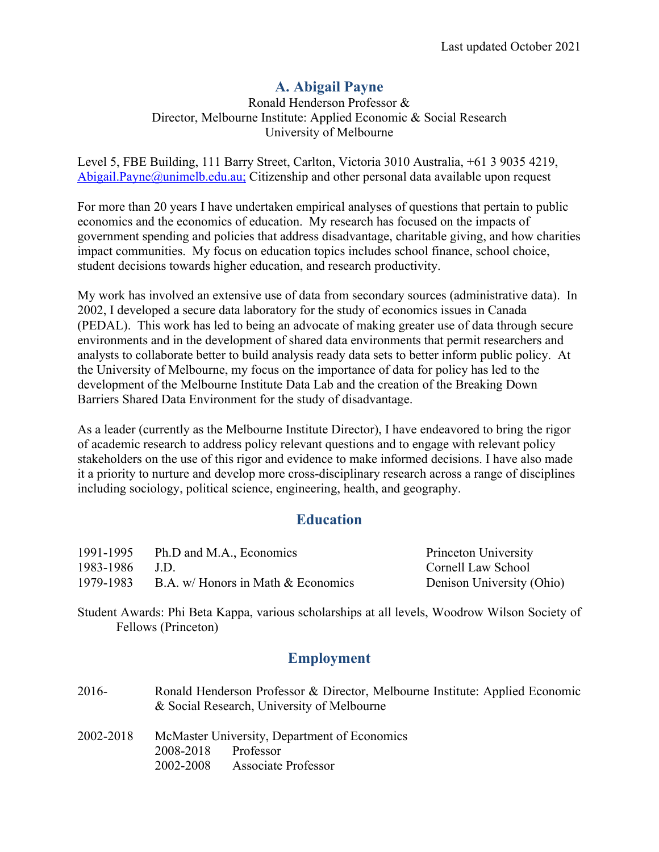# **A. Abigail Payne**

Ronald Henderson Professor & Director, Melbourne Institute: Applied Economic & Social Research University of Melbourne

Level 5, FBE Building, 111 Barry Street, Carlton, Victoria 3010 Australia, +61 3 9035 4219, Abigail.Payne@unimelb.edu.au; Citizenship and other personal data available upon request

For more than 20 years I have undertaken empirical analyses of questions that pertain to public economics and the economics of education. My research has focused on the impacts of government spending and policies that address disadvantage, charitable giving, and how charities impact communities. My focus on education topics includes school finance, school choice, student decisions towards higher education, and research productivity.

My work has involved an extensive use of data from secondary sources (administrative data). In 2002, I developed a secure data laboratory for the study of economics issues in Canada (PEDAL). This work has led to being an advocate of making greater use of data through secure environments and in the development of shared data environments that permit researchers and analysts to collaborate better to build analysis ready data sets to better inform public policy. At the University of Melbourne, my focus on the importance of data for policy has led to the development of the Melbourne Institute Data Lab and the creation of the Breaking Down Barriers Shared Data Environment for the study of disadvantage.

As a leader (currently as the Melbourne Institute Director), I have endeavored to bring the rigor of academic research to address policy relevant questions and to engage with relevant policy stakeholders on the use of this rigor and evidence to make informed decisions. I have also made it a priority to nurture and develop more cross-disciplinary research across a range of disciplines including sociology, political science, engineering, health, and geography.

# **Education**

| 1991-1995 | Ph.D and M.A., Economics           | Princeton University      |
|-----------|------------------------------------|---------------------------|
| 1983-1986 | <b>J.D.</b>                        | Cornell Law School        |
| 1979-1983 | B.A. w/ Honors in Math & Economics | Denison University (Ohio) |

Student Awards: Phi Beta Kappa, various scholarships at all levels, Woodrow Wilson Society of Fellows (Princeton)

# **Employment**

| 2016-     | Ronald Henderson Professor & Director, Melbourne Institute: Applied Economic<br>& Social Research, University of Melbourne |  |  |
|-----------|----------------------------------------------------------------------------------------------------------------------------|--|--|
| 2002-2018 | McMaster University, Department of Economics                                                                               |  |  |
|           | Professor<br>2008-2018                                                                                                     |  |  |
|           | <b>Associate Professor</b><br>2002-2008                                                                                    |  |  |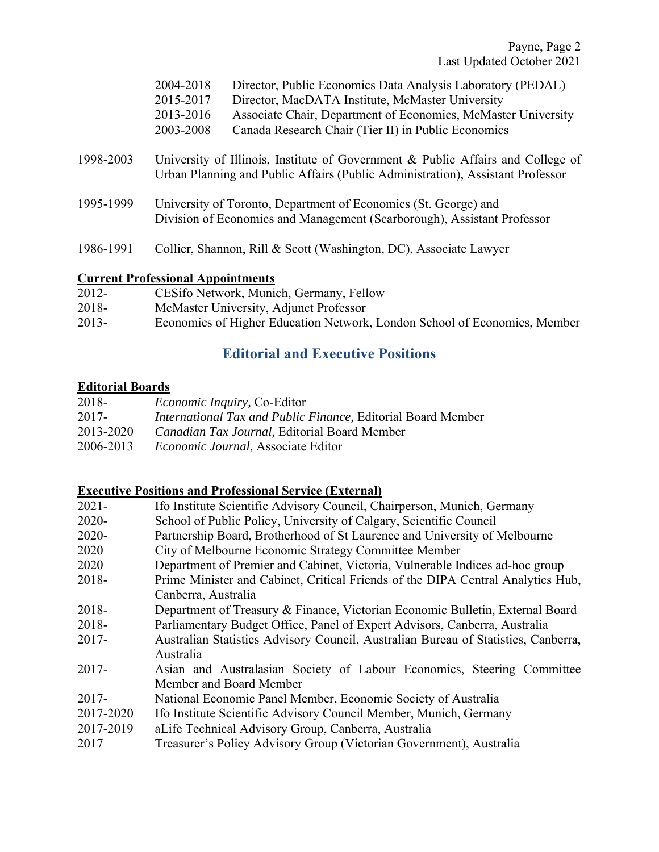|           | 2004-2018<br>2015-2017<br>2013-2016<br>2003-2008                                                                                                                  | Director, Public Economics Data Analysis Laboratory (PEDAL)<br>Director, MacDATA Institute, McMaster University<br>Associate Chair, Department of Economics, McMaster University<br>Canada Research Chair (Tier II) in Public Economics |  |
|-----------|-------------------------------------------------------------------------------------------------------------------------------------------------------------------|-----------------------------------------------------------------------------------------------------------------------------------------------------------------------------------------------------------------------------------------|--|
| 1998-2003 | University of Illinois, Institute of Government & Public Affairs and College of<br>Urban Planning and Public Affairs (Public Administration), Assistant Professor |                                                                                                                                                                                                                                         |  |
| 1995-1999 | University of Toronto, Department of Economics (St. George) and<br>Division of Economics and Management (Scarborough), Assistant Professor                        |                                                                                                                                                                                                                                         |  |
| 1986-1991 |                                                                                                                                                                   | Collier, Shannon, Rill & Scott (Washington, DC), Associate Lawyer                                                                                                                                                                       |  |

### **Current Professional Appointments**

| 2012-   | CESifo Network, Munich, Germany, Fellow                                   |
|---------|---------------------------------------------------------------------------|
| 2018-   | McMaster University, Adjunct Professor                                    |
| $2013-$ | Economics of Higher Education Network, London School of Economics, Member |

# **Editorial and Executive Positions**

### **Editorial Boards**

| <i>Economic Inquiry, Co-Editor</i>                                  |
|---------------------------------------------------------------------|
| <i>International Tax and Public Finance, Editorial Board Member</i> |
| <i>Canadian Tax Journal</i> , Editorial Board Member                |
| <i>Economic Journal</i> , Associate Editor                          |
|                                                                     |

### **Executive Positions and Professional Service (External)**

| $2021 -$  | Ifo Institute Scientific Advisory Council, Chairperson, Munich, Germany            |  |  |
|-----------|------------------------------------------------------------------------------------|--|--|
| $2020 -$  | School of Public Policy, University of Calgary, Scientific Council                 |  |  |
| $2020 -$  | Partnership Board, Brotherhood of St Laurence and University of Melbourne          |  |  |
| 2020      | City of Melbourne Economic Strategy Committee Member                               |  |  |
| 2020      | Department of Premier and Cabinet, Victoria, Vulnerable Indices ad-hoc group       |  |  |
| 2018-     | Prime Minister and Cabinet, Critical Friends of the DIPA Central Analytics Hub,    |  |  |
|           | Canberra, Australia                                                                |  |  |
| 2018-     | Department of Treasury & Finance, Victorian Economic Bulletin, External Board      |  |  |
| 2018-     | Parliamentary Budget Office, Panel of Expert Advisors, Canberra, Australia         |  |  |
| $2017 -$  | Australian Statistics Advisory Council, Australian Bureau of Statistics, Canberra, |  |  |
|           | Australia                                                                          |  |  |
| $2017 -$  | Asian and Australasian Society of Labour Economics, Steering Committee             |  |  |
|           | Member and Board Member                                                            |  |  |
| $2017 -$  | National Economic Panel Member, Economic Society of Australia                      |  |  |
| 2017-2020 | Ifo Institute Scientific Advisory Council Member, Munich, Germany                  |  |  |
| 2017-2019 | aLife Technical Advisory Group, Canberra, Australia                                |  |  |
| 2017      | Treasurer's Policy Advisory Group (Victorian Government), Australia                |  |  |
|           |                                                                                    |  |  |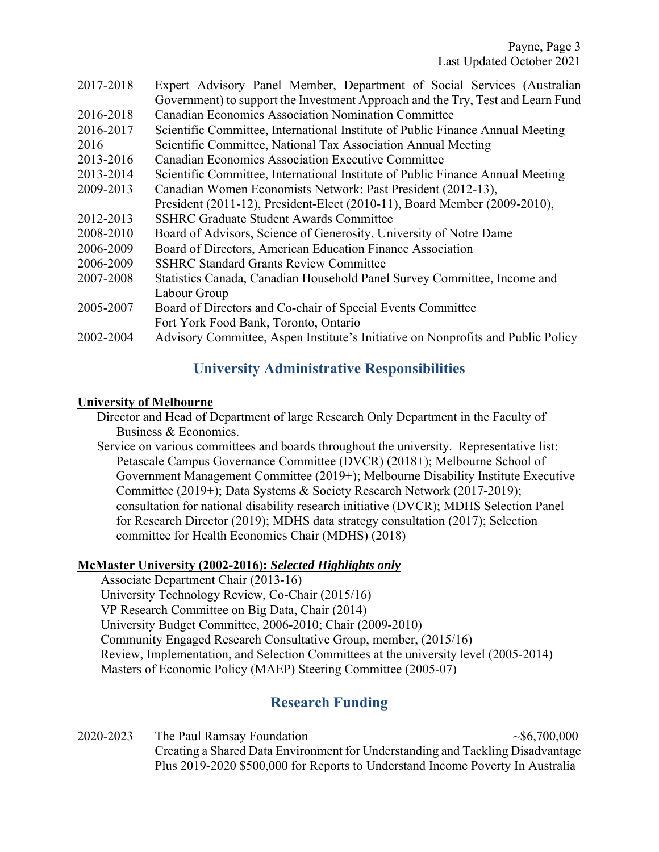| 2017-2018 | Expert Advisory Panel Member, Department of Social Services (Australian          |  |  |  |
|-----------|----------------------------------------------------------------------------------|--|--|--|
|           | Government) to support the Investment Approach and the Try, Test and Learn Fund  |  |  |  |
| 2016-2018 | <b>Canadian Economics Association Nomination Committee</b>                       |  |  |  |
| 2016-2017 | Scientific Committee, International Institute of Public Finance Annual Meeting   |  |  |  |
| 2016      | Scientific Committee, National Tax Association Annual Meeting                    |  |  |  |
| 2013-2016 | <b>Canadian Economics Association Executive Committee</b>                        |  |  |  |
| 2013-2014 | Scientific Committee, International Institute of Public Finance Annual Meeting   |  |  |  |
| 2009-2013 | Canadian Women Economists Network: Past President (2012-13),                     |  |  |  |
|           | President (2011-12), President-Elect (2010-11), Board Member (2009-2010),        |  |  |  |
| 2012-2013 | <b>SSHRC Graduate Student Awards Committee</b>                                   |  |  |  |
| 2008-2010 | Board of Advisors, Science of Generosity, University of Notre Dame               |  |  |  |
| 2006-2009 | Board of Directors, American Education Finance Association                       |  |  |  |
| 2006-2009 | <b>SSHRC Standard Grants Review Committee</b>                                    |  |  |  |
| 2007-2008 | Statistics Canada, Canadian Household Panel Survey Committee, Income and         |  |  |  |
|           | Labour Group                                                                     |  |  |  |
| 2005-2007 | Board of Directors and Co-chair of Special Events Committee                      |  |  |  |
|           | Fort York Food Bank, Toronto, Ontario                                            |  |  |  |
| 2002-2004 | Advisory Committee, Aspen Institute's Initiative on Nonprofits and Public Policy |  |  |  |

# **University Administrative Responsibilities**

#### **University of Melbourne**

 Director and Head of Department of large Research Only Department in the Faculty of Business & Economics.

 Service on various committees and boards throughout the university. Representative list: Petascale Campus Governance Committee (DVCR) (2018+); Melbourne School of Government Management Committee (2019+); Melbourne Disability Institute Executive Committee (2019+); Data Systems & Society Research Network (2017-2019); consultation for national disability research initiative (DVCR); MDHS Selection Panel for Research Director (2019); MDHS data strategy consultation (2017); Selection committee for Health Economics Chair (MDHS) (2018)

### **McMaster University (2002-2016):** *Selected Highlights only*

Associate Department Chair (2013-16) University Technology Review, Co-Chair (2015/16) VP Research Committee on Big Data, Chair (2014) University Budget Committee, 2006-2010; Chair (2009-2010) Community Engaged Research Consultative Group, member, (2015/16) Review, Implementation, and Selection Committees at the university level (2005-2014) Masters of Economic Policy (MAEP) Steering Committee (2005-07)

# **Research Funding**

 $2020-2023$  The Paul Ramsay Foundation  $\sim $6,700,000$  Creating a Shared Data Environment for Understanding and Tackling Disadvantage Plus 2019-2020 \$500,000 for Reports to Understand Income Poverty In Australia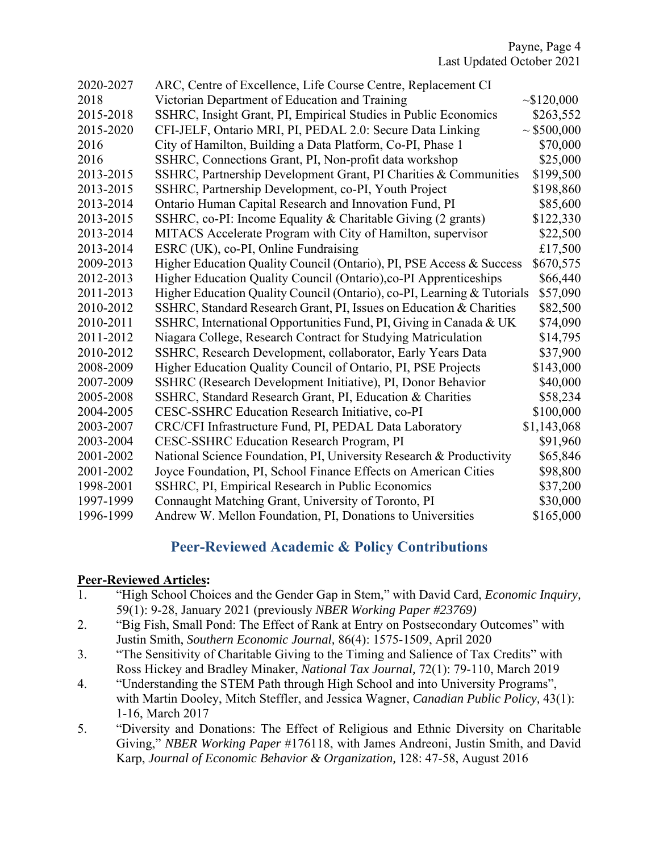| 2020-2027 | ARC, Centre of Excellence, Life Course Centre, Replacement CI           |                  |
|-----------|-------------------------------------------------------------------------|------------------|
| 2018      | Victorian Department of Education and Training                          | $\sim$ \$120,000 |
| 2015-2018 | SSHRC, Insight Grant, PI, Empirical Studies in Public Economics         | \$263,552        |
| 2015-2020 | CFI-JELF, Ontario MRI, PI, PEDAL 2.0: Secure Data Linking               | $\sim$ \$500,000 |
| 2016      | City of Hamilton, Building a Data Platform, Co-PI, Phase 1              | \$70,000         |
| 2016      | SSHRC, Connections Grant, PI, Non-profit data workshop                  | \$25,000         |
| 2013-2015 | SSHRC, Partnership Development Grant, PI Charities & Communities        | \$199,500        |
| 2013-2015 | SSHRC, Partnership Development, co-PI, Youth Project                    | \$198,860        |
| 2013-2014 | Ontario Human Capital Research and Innovation Fund, PI                  | \$85,600         |
| 2013-2015 | SSHRC, co-PI: Income Equality & Charitable Giving (2 grants)            | \$122,330        |
| 2013-2014 | MITACS Accelerate Program with City of Hamilton, supervisor             | \$22,500         |
| 2013-2014 | ESRC (UK), co-PI, Online Fundraising                                    | £17,500          |
| 2009-2013 | Higher Education Quality Council (Ontario), PI, PSE Access & Success    | \$670,575        |
| 2012-2013 | Higher Education Quality Council (Ontario), co-PI Apprenticeships       | \$66,440         |
| 2011-2013 | Higher Education Quality Council (Ontario), co-PI, Learning & Tutorials | \$57,090         |
| 2010-2012 | SSHRC, Standard Research Grant, PI, Issues on Education & Charities     | \$82,500         |
| 2010-2011 | SSHRC, International Opportunities Fund, PI, Giving in Canada & UK      | \$74,090         |
| 2011-2012 | Niagara College, Research Contract for Studying Matriculation           | \$14,795         |
| 2010-2012 | SSHRC, Research Development, collaborator, Early Years Data             | \$37,900         |
| 2008-2009 | Higher Education Quality Council of Ontario, PI, PSE Projects           | \$143,000        |
| 2007-2009 | SSHRC (Research Development Initiative), PI, Donor Behavior             | \$40,000         |
| 2005-2008 | SSHRC, Standard Research Grant, PI, Education & Charities               | \$58,234         |
| 2004-2005 | CESC-SSHRC Education Research Initiative, co-PI                         | \$100,000        |
| 2003-2007 | CRC/CFI Infrastructure Fund, PI, PEDAL Data Laboratory                  | \$1,143,068      |
| 2003-2004 | CESC-SSHRC Education Research Program, PI                               | \$91,960         |
| 2001-2002 | National Science Foundation, PI, University Research & Productivity     | \$65,846         |
| 2001-2002 | Joyce Foundation, PI, School Finance Effects on American Cities         | \$98,800         |
| 1998-2001 | SSHRC, PI, Empirical Research in Public Economics                       | \$37,200         |
| 1997-1999 | Connaught Matching Grant, University of Toronto, PI                     | \$30,000         |
| 1996-1999 | Andrew W. Mellon Foundation, PI, Donations to Universities              | \$165,000        |

# **Peer-Reviewed Academic & Policy Contributions**

### **Peer-Reviewed Articles:**

- 1. "High School Choices and the Gender Gap in Stem," with David Card, *Economic Inquiry,*  59(1): 9-28, January 2021 (previously *NBER Working Paper #23769)*
- 2. "Big Fish, Small Pond: The Effect of Rank at Entry on Postsecondary Outcomes" with Justin Smith, *Southern Economic Journal,* 86(4): 1575-1509, April 2020
- 3. "The Sensitivity of Charitable Giving to the Timing and Salience of Tax Credits" with Ross Hickey and Bradley Minaker, *National Tax Journal,* 72(1): 79-110, March 2019
- 4. "Understanding the STEM Path through High School and into University Programs", with Martin Dooley, Mitch Steffler, and Jessica Wagner, *Canadian Public Policy,* 43(1): 1-16, March 2017
- 5. "Diversity and Donations: The Effect of Religious and Ethnic Diversity on Charitable Giving," *NBER Working Paper* #176118, with James Andreoni, Justin Smith, and David Karp, *Journal of Economic Behavior & Organization,* 128: 47-58, August 2016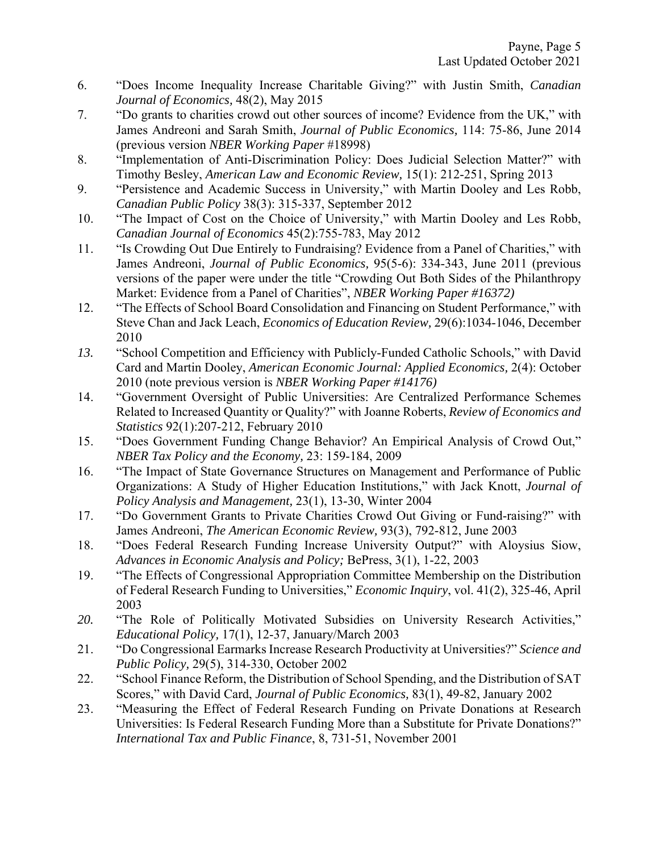- 6. "Does Income Inequality Increase Charitable Giving?" with Justin Smith, *Canadian Journal of Economics,* 48(2), May 2015
- 7. "Do grants to charities crowd out other sources of income? Evidence from the UK," with James Andreoni and Sarah Smith, *Journal of Public Economics,* 114: 75-86, June 2014 (previous version *NBER Working Paper* #18998)
- 8. "Implementation of Anti-Discrimination Policy: Does Judicial Selection Matter?" with Timothy Besley, *American Law and Economic Review,* 15(1): 212-251, Spring 2013
- 9. "Persistence and Academic Success in University," with Martin Dooley and Les Robb, *Canadian Public Policy* 38(3): 315-337, September 2012
- 10. "The Impact of Cost on the Choice of University," with Martin Dooley and Les Robb, *Canadian Journal of Economics* 45(2):755-783, May 2012
- 11. "Is Crowding Out Due Entirely to Fundraising? Evidence from a Panel of Charities," with James Andreoni, *Journal of Public Economics,* 95(5-6): 334-343, June 2011 (previous versions of the paper were under the title "Crowding Out Both Sides of the Philanthropy Market: Evidence from a Panel of Charities", *NBER Working Paper #16372)*
- 12. "The Effects of School Board Consolidation and Financing on Student Performance," with Steve Chan and Jack Leach, *Economics of Education Review,* 29(6):1034-1046, December 2010
- *13.* "School Competition and Efficiency with Publicly-Funded Catholic Schools," with David Card and Martin Dooley, *American Economic Journal: Applied Economics,* 2(4): October 2010 (note previous version is *NBER Working Paper #14176)*
- 14. "Government Oversight of Public Universities: Are Centralized Performance Schemes Related to Increased Quantity or Quality?" with Joanne Roberts, *Review of Economics and Statistics* 92(1):207-212, February 2010
- 15. "Does Government Funding Change Behavior? An Empirical Analysis of Crowd Out," *NBER Tax Policy and the Economy,* 23: 159-184, 2009
- 16. "The Impact of State Governance Structures on Management and Performance of Public Organizations: A Study of Higher Education Institutions," with Jack Knott, *Journal of Policy Analysis and Management,* 23(1), 13-30, Winter 2004
- 17. "Do Government Grants to Private Charities Crowd Out Giving or Fund-raising?" with James Andreoni, *The American Economic Review,* 93(3), 792-812, June 2003
- 18. "Does Federal Research Funding Increase University Output?" with Aloysius Siow, *Advances in Economic Analysis and Policy;* BePress, 3(1), 1-22, 2003
- 19. "The Effects of Congressional Appropriation Committee Membership on the Distribution of Federal Research Funding to Universities," *Economic Inquiry*, vol. 41(2), 325-46, April 2003
- *20.* "The Role of Politically Motivated Subsidies on University Research Activities," *Educational Policy,* 17(1), 12-37, January/March 2003
- 21. "Do Congressional Earmarks Increase Research Productivity at Universities?" *Science and Public Policy,* 29(5), 314-330, October 2002
- 22. "School Finance Reform, the Distribution of School Spending, and the Distribution of SAT Scores," with David Card, *Journal of Public Economics,* 83(1), 49-82, January 2002
- 23. "Measuring the Effect of Federal Research Funding on Private Donations at Research Universities: Is Federal Research Funding More than a Substitute for Private Donations?" *International Tax and Public Finance*, 8, 731-51, November 2001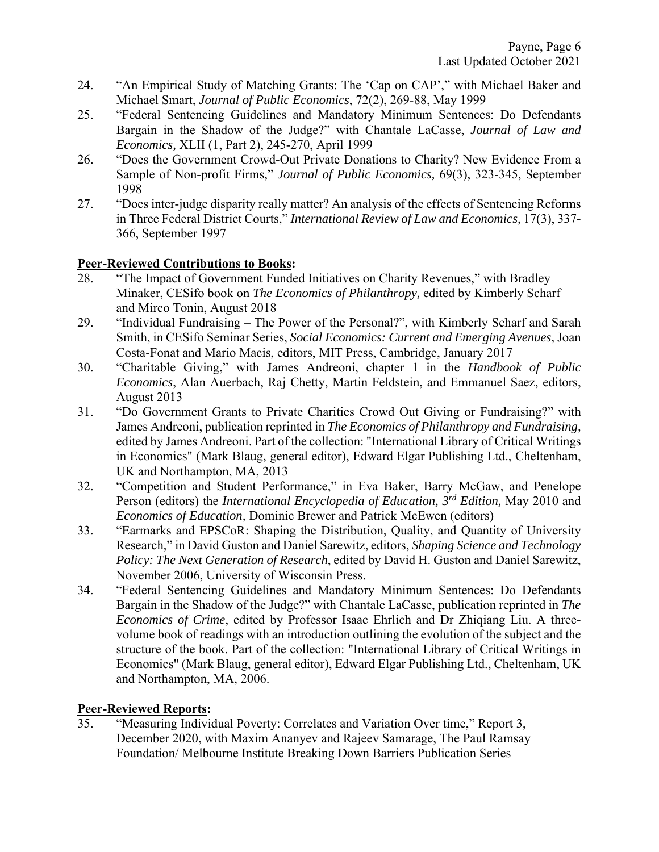- 24. "An Empirical Study of Matching Grants: The 'Cap on CAP'," with Michael Baker and Michael Smart, *Journal of Public Economics*, 72(2), 269-88, May 1999
- 25. "Federal Sentencing Guidelines and Mandatory Minimum Sentences: Do Defendants Bargain in the Shadow of the Judge?" with Chantale LaCasse, *Journal of Law and Economics,* XLII (1, Part 2), 245-270, April 1999
- 26. "Does the Government Crowd-Out Private Donations to Charity? New Evidence From a Sample of Non-profit Firms," *Journal of Public Economics,* 69(3), 323-345, September 1998
- 27. "Does inter-judge disparity really matter? An analysis of the effects of Sentencing Reforms in Three Federal District Courts," *International Review of Law and Economics,* 17(3), 337- 366, September 1997

### **Peer-Reviewed Contributions to Books:**

- 28. "The Impact of Government Funded Initiatives on Charity Revenues," with Bradley Minaker, CESifo book on *The Economics of Philanthropy,* edited by Kimberly Scharf and Mirco Tonin, August 2018
- 29. "Individual Fundraising The Power of the Personal?", with Kimberly Scharf and Sarah Smith, in CESifo Seminar Series, *Social Economics: Current and Emerging Avenues,* Joan Costa-Fonat and Mario Macis, editors, MIT Press, Cambridge, January 2017
- 30. "Charitable Giving," with James Andreoni, chapter 1 in the *Handbook of Public Economics*, Alan Auerbach, Raj Chetty, Martin Feldstein, and Emmanuel Saez, editors, August 2013
- 31. "Do Government Grants to Private Charities Crowd Out Giving or Fundraising?" with James Andreoni, publication reprinted in *The Economics of Philanthropy and Fundraising,*  edited by James Andreoni. Part of the collection: "International Library of Critical Writings in Economics" (Mark Blaug, general editor), Edward Elgar Publishing Ltd., Cheltenham, UK and Northampton, MA, 2013
- 32. "Competition and Student Performance," in Eva Baker, Barry McGaw, and Penelope Person (editors) the *International Encyclopedia of Education, 3rd Edition,* May 2010 and *Economics of Education,* Dominic Brewer and Patrick McEwen (editors)
- 33. "Earmarks and EPSCoR: Shaping the Distribution, Quality, and Quantity of University Research," in David Guston and Daniel Sarewitz, editors, *Shaping Science and Technology Policy: The Next Generation of Research*, edited by David H. Guston and Daniel Sarewitz, November 2006, University of Wisconsin Press.
- 34. "Federal Sentencing Guidelines and Mandatory Minimum Sentences: Do Defendants Bargain in the Shadow of the Judge?" with Chantale LaCasse, publication reprinted in *The Economics of Crime*, edited by Professor Isaac Ehrlich and Dr Zhiqiang Liu. A threevolume book of readings with an introduction outlining the evolution of the subject and the structure of the book. Part of the collection: "International Library of Critical Writings in Economics" (Mark Blaug, general editor), Edward Elgar Publishing Ltd., Cheltenham, UK and Northampton, MA, 2006.

### **Peer-Reviewed Reports:**

35. "Measuring Individual Poverty: Correlates and Variation Over time," Report 3, December 2020, with Maxim Ananyev and Rajeev Samarage, The Paul Ramsay Foundation/ Melbourne Institute Breaking Down Barriers Publication Series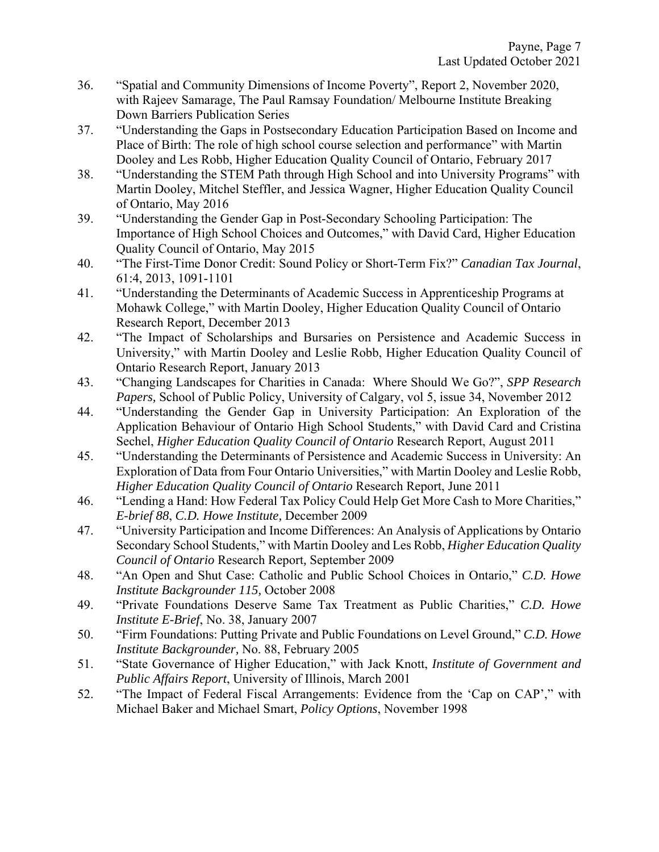- 36. "Spatial and Community Dimensions of Income Poverty", Report 2, November 2020, with Rajeev Samarage, The Paul Ramsay Foundation/ Melbourne Institute Breaking Down Barriers Publication Series
- 37. "Understanding the Gaps in Postsecondary Education Participation Based on Income and Place of Birth: The role of high school course selection and performance" with Martin Dooley and Les Robb, Higher Education Quality Council of Ontario, February 2017
- 38. "Understanding the STEM Path through High School and into University Programs" with Martin Dooley, Mitchel Steffler, and Jessica Wagner, Higher Education Quality Council of Ontario, May 2016
- 39. "Understanding the Gender Gap in Post-Secondary Schooling Participation: The Importance of High School Choices and Outcomes," with David Card, Higher Education Quality Council of Ontario, May 2015
- 40. "The First-Time Donor Credit: Sound Policy or Short-Term Fix?" *Canadian Tax Journal*, 61:4, 2013, 1091-1101
- 41. "Understanding the Determinants of Academic Success in Apprenticeship Programs at Mohawk College," with Martin Dooley, Higher Education Quality Council of Ontario Research Report, December 2013
- 42. "The Impact of Scholarships and Bursaries on Persistence and Academic Success in University," with Martin Dooley and Leslie Robb, Higher Education Quality Council of Ontario Research Report, January 2013
- 43. "Changing Landscapes for Charities in Canada: Where Should We Go?", *SPP Research Papers,* School of Public Policy, University of Calgary, vol 5, issue 34, November 2012
- 44. "Understanding the Gender Gap in University Participation: An Exploration of the Application Behaviour of Ontario High School Students," with David Card and Cristina Sechel, *Higher Education Quality Council of Ontario* Research Report, August 2011
- 45. "Understanding the Determinants of Persistence and Academic Success in University: An Exploration of Data from Four Ontario Universities," with Martin Dooley and Leslie Robb, *Higher Education Quality Council of Ontario* Research Report, June 2011
- 46. "Lending a Hand: How Federal Tax Policy Could Help Get More Cash to More Charities," *E-brief 88*, *C.D. Howe Institute,* December 2009
- 47. "University Participation and Income Differences: An Analysis of Applications by Ontario Secondary School Students," with Martin Dooley and Les Robb, *Higher Education Quality Council of Ontario* Research Report*,* September 2009
- 48. "An Open and Shut Case: Catholic and Public School Choices in Ontario," *C.D. Howe Institute Backgrounder 115,* October 2008
- 49. "Private Foundations Deserve Same Tax Treatment as Public Charities," *C.D. Howe Institute E-Brief*, No. 38, January 2007
- 50. "Firm Foundations: Putting Private and Public Foundations on Level Ground," *C.D. Howe Institute Backgrounder,* No. 88, February 2005
- 51. "State Governance of Higher Education," with Jack Knott, *Institute of Government and Public Affairs Report*, University of Illinois, March 2001
- 52. "The Impact of Federal Fiscal Arrangements: Evidence from the 'Cap on CAP'," with Michael Baker and Michael Smart, *Policy Options*, November 1998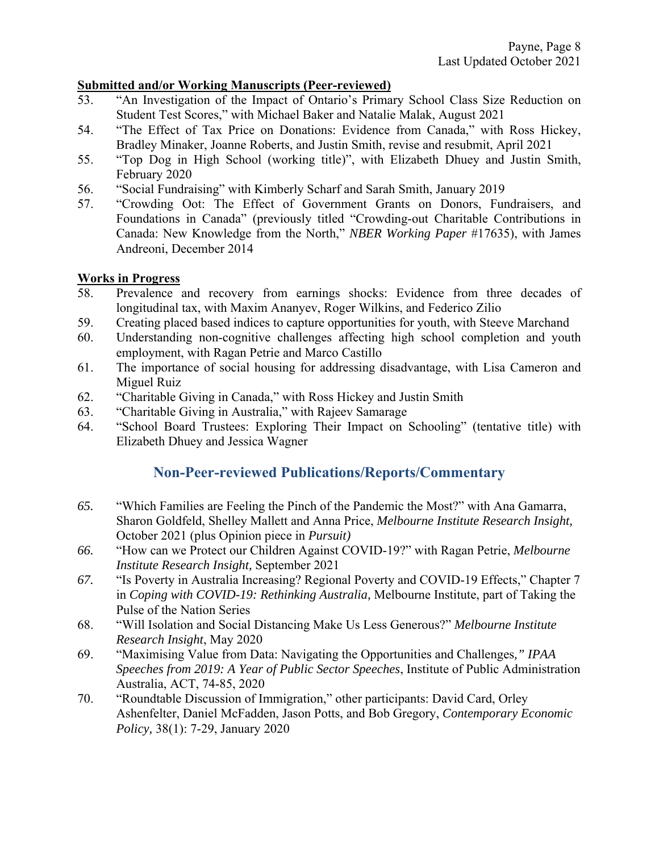#### **Submitted and/or Working Manuscripts (Peer-reviewed)**

- 53. "An Investigation of the Impact of Ontario's Primary School Class Size Reduction on Student Test Scores," with Michael Baker and Natalie Malak, August 2021
- 54. "The Effect of Tax Price on Donations: Evidence from Canada," with Ross Hickey, Bradley Minaker, Joanne Roberts, and Justin Smith, revise and resubmit, April 2021
- 55. "Top Dog in High School (working title)", with Elizabeth Dhuey and Justin Smith, February 2020
- 56. "Social Fundraising" with Kimberly Scharf and Sarah Smith, January 2019
- 57. "Crowding Oot: The Effect of Government Grants on Donors, Fundraisers, and Foundations in Canada" (previously titled "Crowding-out Charitable Contributions in Canada: New Knowledge from the North," *NBER Working Paper* #17635), with James Andreoni, December 2014

#### **Works in Progress**

- 58. Prevalence and recovery from earnings shocks: Evidence from three decades of longitudinal tax, with Maxim Ananyev, Roger Wilkins, and Federico Zilio
- 59. Creating placed based indices to capture opportunities for youth, with Steeve Marchand
- 60. Understanding non-cognitive challenges affecting high school completion and youth employment, with Ragan Petrie and Marco Castillo
- 61. The importance of social housing for addressing disadvantage, with Lisa Cameron and Miguel Ruiz
- 62. "Charitable Giving in Canada," with Ross Hickey and Justin Smith
- 63. "Charitable Giving in Australia," with Rajeev Samarage
- 64. "School Board Trustees: Exploring Their Impact on Schooling" (tentative title) with Elizabeth Dhuey and Jessica Wagner

# **Non-Peer-reviewed Publications/Reports/Commentary**

- *65.* "Which Families are Feeling the Pinch of the Pandemic the Most?" with Ana Gamarra, Sharon Goldfeld, Shelley Mallett and Anna Price, *Melbourne Institute Research Insight,*  October 2021 (plus Opinion piece in *Pursuit)*
- *66.* "How can we Protect our Children Against COVID-19?" with Ragan Petrie, *Melbourne Institute Research Insight,* September 2021
- *67.* "Is Poverty in Australia Increasing? Regional Poverty and COVID-19 Effects," Chapter 7 in *Coping with COVID-19: Rethinking Australia,* Melbourne Institute, part of Taking the Pulse of the Nation Series
- 68. "Will Isolation and Social Distancing Make Us Less Generous?" *Melbourne Institute Research Insight*, May 2020
- 69. "Maximising Value from Data: Navigating the Opportunities and Challenges*," IPAA Speeches from 2019: A Year of Public Sector Speeches*, Institute of Public Administration Australia, ACT, 74-85, 2020
- 70. "Roundtable Discussion of Immigration," other participants: David Card, Orley Ashenfelter, Daniel McFadden, Jason Potts, and Bob Gregory, *Contemporary Economic Policy,* 38(1): 7-29, January 2020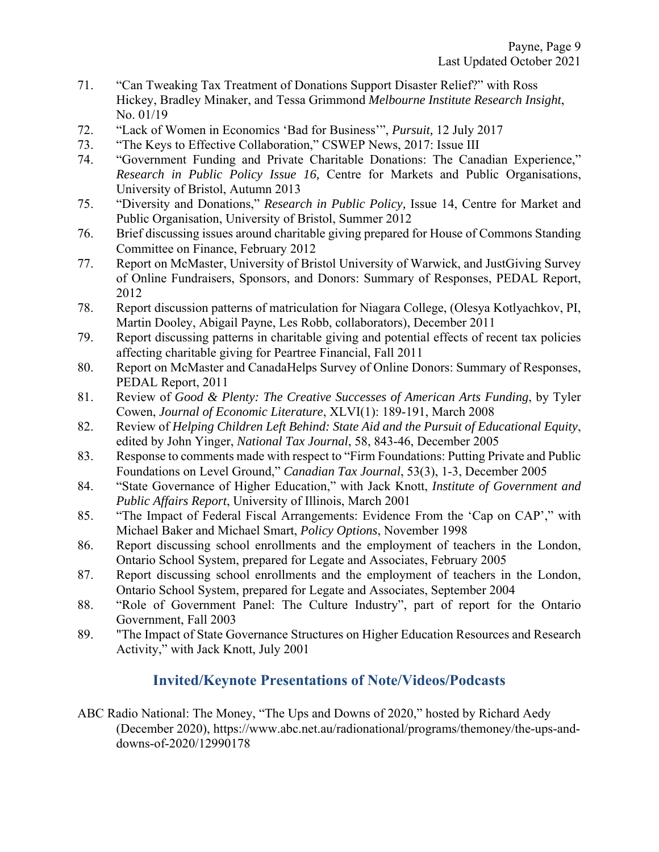- 71. "Can Tweaking Tax Treatment of Donations Support Disaster Relief?" with Ross Hickey, Bradley Minaker, and Tessa Grimmond *Melbourne Institute Research Insight*, No. 01/19
- 72. "Lack of Women in Economics 'Bad for Business'", *Pursuit,* 12 July 2017
- 73. "The Keys to Effective Collaboration," CSWEP News, 2017: Issue III
- 74. "Government Funding and Private Charitable Donations: The Canadian Experience," *Research in Public Policy Issue 16,* Centre for Markets and Public Organisations, University of Bristol, Autumn 2013
- 75. "Diversity and Donations," *Research in Public Policy,* Issue 14, Centre for Market and Public Organisation, University of Bristol, Summer 2012
- 76. Brief discussing issues around charitable giving prepared for House of Commons Standing Committee on Finance, February 2012
- 77. Report on McMaster, University of Bristol University of Warwick, and JustGiving Survey of Online Fundraisers, Sponsors, and Donors: Summary of Responses, PEDAL Report, 2012
- 78. Report discussion patterns of matriculation for Niagara College, (Olesya Kotlyachkov, PI, Martin Dooley, Abigail Payne, Les Robb, collaborators), December 2011
- 79. Report discussing patterns in charitable giving and potential effects of recent tax policies affecting charitable giving for Peartree Financial, Fall 2011
- 80. Report on McMaster and CanadaHelps Survey of Online Donors: Summary of Responses, PEDAL Report, 2011
- 81. Review of *Good & Plenty: The Creative Successes of American Arts Funding*, by Tyler Cowen, *Journal of Economic Literature*, XLVI(1): 189-191, March 2008
- 82. Review of *Helping Children Left Behind: State Aid and the Pursuit of Educational Equity*, edited by John Yinger, *National Tax Journal*, 58, 843-46, December 2005
- 83. Response to comments made with respect to "Firm Foundations: Putting Private and Public Foundations on Level Ground," *Canadian Tax Journal*, 53(3), 1-3, December 2005
- 84. "State Governance of Higher Education," with Jack Knott, *Institute of Government and Public Affairs Report*, University of Illinois, March 2001
- 85. "The Impact of Federal Fiscal Arrangements: Evidence From the 'Cap on CAP'," with Michael Baker and Michael Smart, *Policy Options*, November 1998
- 86. Report discussing school enrollments and the employment of teachers in the London, Ontario School System, prepared for Legate and Associates, February 2005
- 87. Report discussing school enrollments and the employment of teachers in the London, Ontario School System, prepared for Legate and Associates, September 2004
- 88. "Role of Government Panel: The Culture Industry", part of report for the Ontario Government, Fall 2003
- 89. "The Impact of State Governance Structures on Higher Education Resources and Research Activity," with Jack Knott, July 2001

# **Invited/Keynote Presentations of Note/Videos/Podcasts**

ABC Radio National: The Money, "The Ups and Downs of 2020," hosted by Richard Aedy (December 2020), https://www.abc.net.au/radionational/programs/themoney/the-ups-anddowns-of-2020/12990178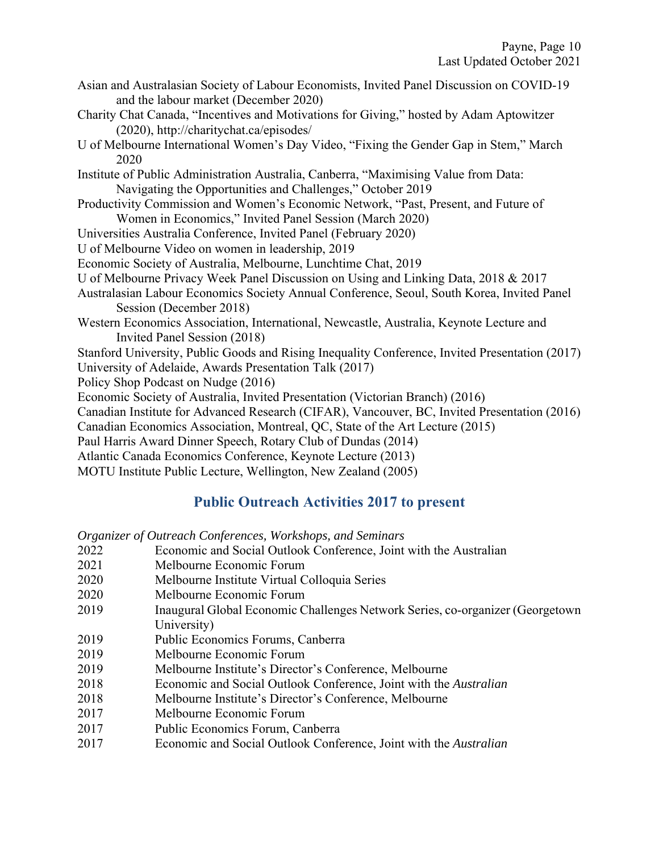- Asian and Australasian Society of Labour Economists, Invited Panel Discussion on COVID-19 and the labour market (December 2020)
- Charity Chat Canada, "Incentives and Motivations for Giving," hosted by Adam Aptowitzer (2020), http://charitychat.ca/episodes/
- U of Melbourne International Women's Day Video, "Fixing the Gender Gap in Stem," March 2020

Institute of Public Administration Australia, Canberra, "Maximising Value from Data: Navigating the Opportunities and Challenges," October 2019

- Productivity Commission and Women's Economic Network, "Past, Present, and Future of Women in Economics," Invited Panel Session (March 2020)
- Universities Australia Conference, Invited Panel (February 2020)

U of Melbourne Video on women in leadership, 2019

- Economic Society of Australia, Melbourne, Lunchtime Chat, 2019
- U of Melbourne Privacy Week Panel Discussion on Using and Linking Data, 2018 & 2017
- Australasian Labour Economics Society Annual Conference, Seoul, South Korea, Invited Panel Session (December 2018)
- Western Economics Association, International, Newcastle, Australia, Keynote Lecture and Invited Panel Session (2018)
- Stanford University, Public Goods and Rising Inequality Conference, Invited Presentation (2017)

University of Adelaide, Awards Presentation Talk (2017)

- Policy Shop Podcast on Nudge (2016)
- Economic Society of Australia, Invited Presentation (Victorian Branch) (2016)
- Canadian Institute for Advanced Research (CIFAR), Vancouver, BC, Invited Presentation (2016)

Canadian Economics Association, Montreal, QC, State of the Art Lecture (2015)

Paul Harris Award Dinner Speech, Rotary Club of Dundas (2014)

Atlantic Canada Economics Conference, Keynote Lecture (2013)

MOTU Institute Public Lecture, Wellington, New Zealand (2005)

# **Public Outreach Activities 2017 to present**

*Organizer of Outreach Conferences, Workshops, and Seminars* 

- 2022 Economic and Social Outlook Conference, Joint with the Australian
- 2021 Melbourne Economic Forum
- 2020 Melbourne Institute Virtual Colloquia Series
- 2020 Melbourne Economic Forum
- 2019 Inaugural Global Economic Challenges Network Series, co-organizer (Georgetown University)
- 2019 Public Economics Forums, Canberra
- 2019 Melbourne Economic Forum
- 2019 Melbourne Institute's Director's Conference, Melbourne
- 2018 Economic and Social Outlook Conference, Joint with the *Australian*
- 2018 Melbourne Institute's Director's Conference, Melbourne
- 2017 Melbourne Economic Forum
- 2017 Public Economics Forum, Canberra
- 2017 Economic and Social Outlook Conference, Joint with the *Australian*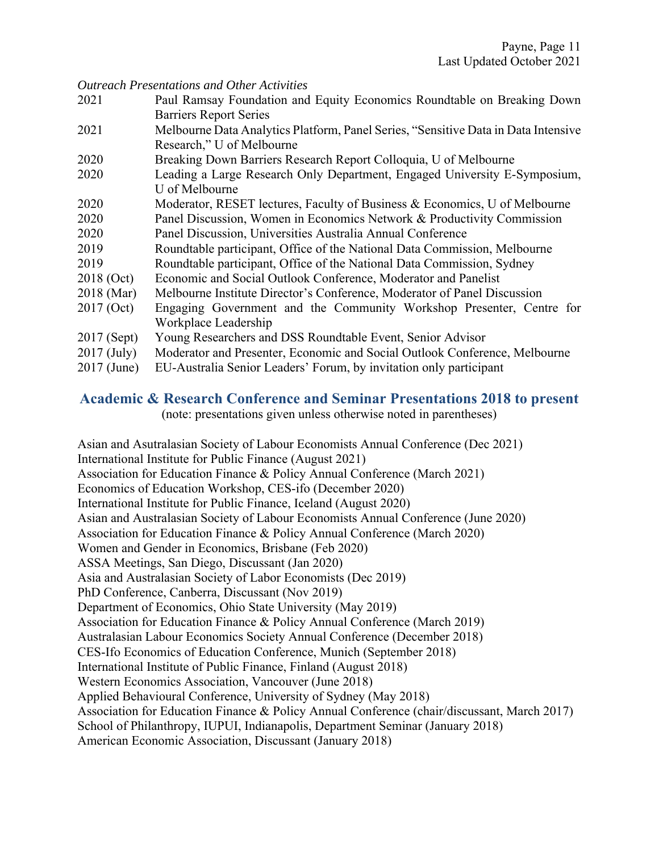*Outreach Presentations and Other Activities* 

- 2021 Paul Ramsay Foundation and Equity Economics Roundtable on Breaking Down Barriers Report Series
- 2021 Melbourne Data Analytics Platform, Panel Series, "Sensitive Data in Data Intensive Research," U of Melbourne
- 2020 Breaking Down Barriers Research Report Colloquia, U of Melbourne
- 2020 Leading a Large Research Only Department, Engaged University E-Symposium, U of Melbourne
- 2020 Moderator, RESET lectures, Faculty of Business & Economics, U of Melbourne
- 2020 Panel Discussion, Women in Economics Network & Productivity Commission
- 2020 Panel Discussion, Universities Australia Annual Conference
- 2019 Roundtable participant, Office of the National Data Commission, Melbourne
- 2019 Roundtable participant, Office of the National Data Commission, Sydney
- 2018 (Oct) Economic and Social Outlook Conference, Moderator and Panelist
- 2018 (Mar) Melbourne Institute Director's Conference, Moderator of Panel Discussion
- 2017 (Oct) Engaging Government and the Community Workshop Presenter, Centre for Workplace Leadership
- 2017 (Sept) Young Researchers and DSS Roundtable Event, Senior Advisor
- 2017 (July) Moderator and Presenter, Economic and Social Outlook Conference, Melbourne
- 2017 (June) EU-Australia Senior Leaders' Forum, by invitation only participant

### **Academic & Research Conference and Seminar Presentations 2018 to present**

(note: presentations given unless otherwise noted in parentheses)

Asian and Asutralasian Society of Labour Economists Annual Conference (Dec 2021) International Institute for Public Finance (August 2021) Association for Education Finance & Policy Annual Conference (March 2021) Economics of Education Workshop, CES-ifo (December 2020) International Institute for Public Finance, Iceland (August 2020) Asian and Australasian Society of Labour Economists Annual Conference (June 2020) Association for Education Finance & Policy Annual Conference (March 2020) Women and Gender in Economics, Brisbane (Feb 2020) ASSA Meetings, San Diego, Discussant (Jan 2020) Asia and Australasian Society of Labor Economists (Dec 2019) PhD Conference, Canberra, Discussant (Nov 2019) Department of Economics, Ohio State University (May 2019) Association for Education Finance & Policy Annual Conference (March 2019) Australasian Labour Economics Society Annual Conference (December 2018) CES-Ifo Economics of Education Conference, Munich (September 2018) International Institute of Public Finance, Finland (August 2018) Western Economics Association, Vancouver (June 2018) Applied Behavioural Conference, University of Sydney (May 2018) Association for Education Finance & Policy Annual Conference (chair/discussant, March 2017) School of Philanthropy, IUPUI, Indianapolis, Department Seminar (January 2018) American Economic Association, Discussant (January 2018)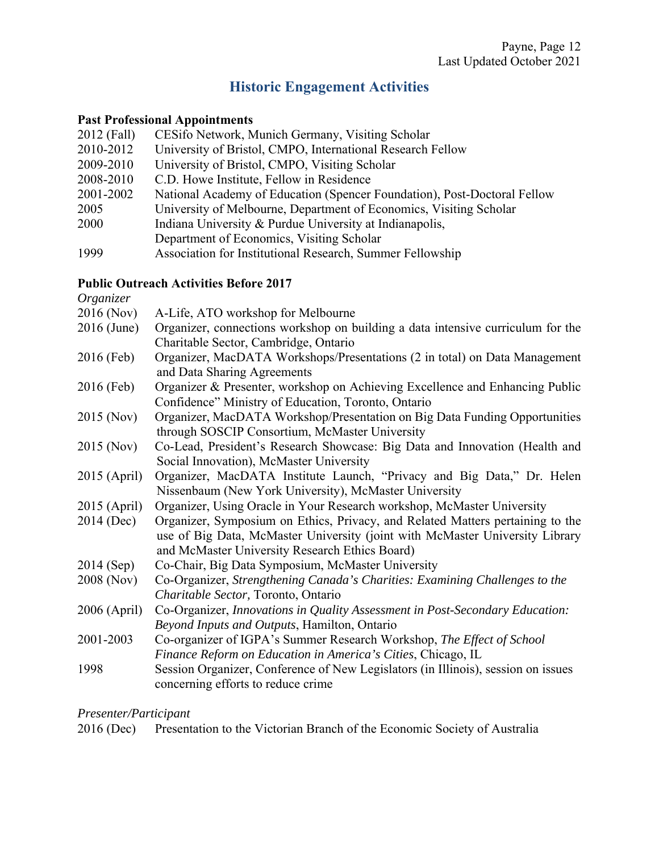# **Historic Engagement Activities**

#### **Past Professional Appointments**

| 2012 (Fall) | CESifo Network, Munich Germany, Visiting Scholar                         |
|-------------|--------------------------------------------------------------------------|
| 2010-2012   | University of Bristol, CMPO, International Research Fellow               |
| 2009-2010   | University of Bristol, CMPO, Visiting Scholar                            |
| 2008-2010   | C.D. Howe Institute, Fellow in Residence                                 |
| 2001-2002   | National Academy of Education (Spencer Foundation), Post-Doctoral Fellow |
| 2005        | University of Melbourne, Department of Economics, Visiting Scholar       |
| 2000        | Indiana University & Purdue University at Indianapolis,                  |
|             | Department of Economics, Visiting Scholar                                |
| 1999        | Association for Institutional Research, Summer Fellowship                |

### **Public Outreach Activities Before 2017**

*Organizer*  2016 (Nov) A-Life, ATO workshop for Melbourne 2016 (June) Organizer, connections workshop on building a data intensive curriculum for the Charitable Sector, Cambridge, Ontario 2016 (Feb) Organizer, MacDATA Workshops/Presentations (2 in total) on Data Management and Data Sharing Agreements 2016 (Feb) Organizer & Presenter, workshop on Achieving Excellence and Enhancing Public Confidence" Ministry of Education, Toronto, Ontario 2015 (Nov) Organizer, MacDATA Workshop/Presentation on Big Data Funding Opportunities through SOSCIP Consortium, McMaster University 2015 (Nov) Co-Lead, President's Research Showcase: Big Data and Innovation (Health and Social Innovation), McMaster University 2015 (April) Organizer, MacDATA Institute Launch, "Privacy and Big Data," Dr. Helen Nissenbaum (New York University), McMaster University 2015 (April) Organizer, Using Oracle in Your Research workshop, McMaster University 2014 (Dec) Organizer, Symposium on Ethics, Privacy, and Related Matters pertaining to the use of Big Data, McMaster University (joint with McMaster University Library and McMaster University Research Ethics Board) 2014 (Sep) Co-Chair, Big Data Symposium, McMaster University 2008 (Nov) Co-Organizer, *Strengthening Canada's Charities: Examining Challenges to the Charitable Sector,* Toronto, Ontario 2006 (April) Co-Organizer, *Innovations in Quality Assessment in Post-Secondary Education: Beyond Inputs and Outputs*, Hamilton, Ontario 2001-2003 Co-organizer of IGPA's Summer Research Workshop, *The Effect of School Finance Reform on Education in America's Cities*, Chicago, IL 1998 Session Organizer, Conference of New Legislators (in Illinois), session on issues concerning efforts to reduce crime

#### *Presenter/Participant*

|  | 2016 (Dec) Presentation to the Victorian Branch of the Economic Society of Australia |  |  |  |
|--|--------------------------------------------------------------------------------------|--|--|--|
|--|--------------------------------------------------------------------------------------|--|--|--|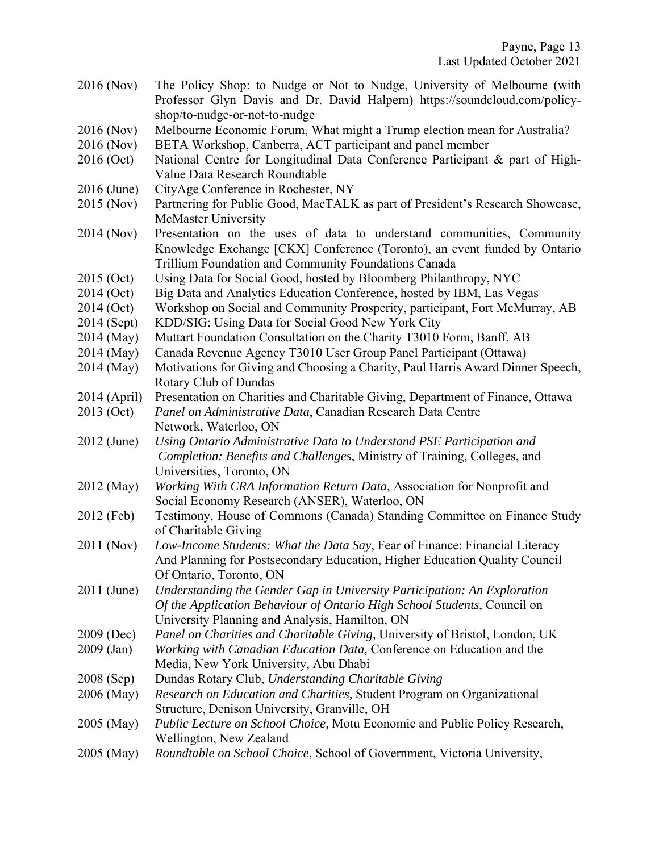- 2016 (Nov) The Policy Shop: to Nudge or Not to Nudge, University of Melbourne (with Professor Glyn Davis and Dr. David Halpern) https://soundcloud.com/policyshop/to-nudge-or-not-to-nudge
- 2016 (Nov) Melbourne Economic Forum, What might a Trump election mean for Australia?
- 2016 (Nov) BETA Workshop, Canberra, ACT participant and panel member
- 2016 (Oct) National Centre for Longitudinal Data Conference Participant & part of High-Value Data Research Roundtable
- 2016 (June) CityAge Conference in Rochester, NY
- 2015 (Nov) Partnering for Public Good, MacTALK as part of President's Research Showcase, McMaster University
- 2014 (Nov) Presentation on the uses of data to understand communities, Community Knowledge Exchange [CKX] Conference (Toronto), an event funded by Ontario Trillium Foundation and Community Foundations Canada
- 2015 (Oct) Using Data for Social Good, hosted by Bloomberg Philanthropy, NYC
- 2014 (Oct) Big Data and Analytics Education Conference, hosted by IBM, Las Vegas
- 2014 (Oct) Workshop on Social and Community Prosperity, participant, Fort McMurray, AB
- 2014 (Sept) KDD/SIG: Using Data for Social Good New York City
- 2014 (May) Muttart Foundation Consultation on the Charity T3010 Form, Banff, AB
- 2014 (May) Canada Revenue Agency T3010 User Group Panel Participant (Ottawa)
- 2014 (May) Motivations for Giving and Choosing a Charity, Paul Harris Award Dinner Speech, Rotary Club of Dundas
- 2014 (April) Presentation on Charities and Charitable Giving, Department of Finance, Ottawa
- 2013 (Oct) *Panel on Administrative Data*, Canadian Research Data Centre Network, Waterloo, ON
- 2012 (June) *Using Ontario Administrative Data to Understand PSE Participation and Completion: Benefits and Challenges*, Ministry of Training, Colleges, and Universities, Toronto, ON
- 2012 (May) *Working With CRA Information Return Data*, Association for Nonprofit and Social Economy Research (ANSER), Waterloo, ON
- 2012 (Feb) Testimony, House of Commons (Canada) Standing Committee on Finance Study of Charitable Giving
- 2011 (Nov) *Low-Income Students: What the Data Say*, Fear of Finance: Financial Literacy And Planning for Postsecondary Education, Higher Education Quality Council Of Ontario, Toronto, ON
- 2011 (June) *Understanding the Gender Gap in University Participation: An Exploration Of the Application Behaviour of Ontario High School Students*, Council on University Planning and Analysis, Hamilton, ON
- 2009 (Dec) *Panel on Charities and Charitable Giving,* University of Bristol, London, UK
- 2009 (Jan) *Working with Canadian Education Data,* Conference on Education and the Media, New York University, Abu Dhabi
- 2008 (Sep) Dundas Rotary Club, *Understanding Charitable Giving*
- 2006 (May) *Research on Education and Charities,* Student Program on Organizational Structure, Denison University, Granville, OH
- 2005 (May) *Public Lecture on School Choice,* Motu Economic and Public Policy Research, Wellington, New Zealand
- 2005 (May) *Roundtable on School Choice*, School of Government, Victoria University,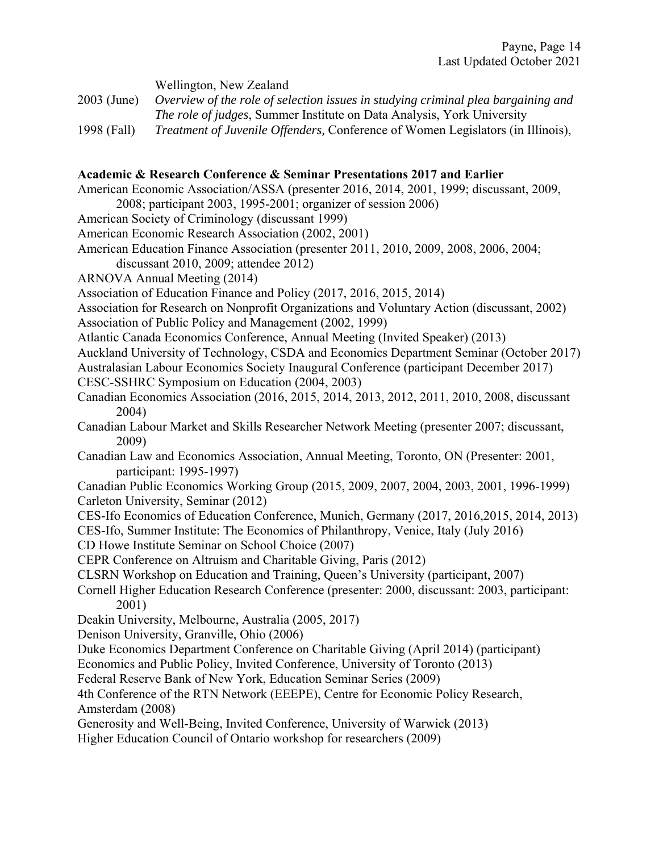Wellington, New Zealand

2003 (June) *Overview of the role of selection issues in studying criminal plea bargaining and The role of judges*, Summer Institute on Data Analysis, York University

1998 (Fall) *Treatment of Juvenile Offenders,* Conference of Women Legislators (in Illinois),

#### **Academic & Research Conference & Seminar Presentations 2017 and Earlier**

- American Economic Association/ASSA (presenter 2016, 2014, 2001, 1999; discussant, 2009, 2008; participant 2003, 1995-2001; organizer of session 2006)
- American Society of Criminology (discussant 1999)
- American Economic Research Association (2002, 2001)
- American Education Finance Association (presenter 2011, 2010, 2009, 2008, 2006, 2004;
- discussant 2010, 2009; attendee 2012)
- ARNOVA Annual Meeting (2014)
- Association of Education Finance and Policy (2017, 2016, 2015, 2014)
- Association for Research on Nonprofit Organizations and Voluntary Action (discussant, 2002) Association of Public Policy and Management (2002, 1999)
- Atlantic Canada Economics Conference, Annual Meeting (Invited Speaker) (2013)
- Auckland University of Technology, CSDA and Economics Department Seminar (October 2017)

Australasian Labour Economics Society Inaugural Conference (participant December 2017)

- CESC-SSHRC Symposium on Education (2004, 2003)
- Canadian Economics Association (2016, 2015, 2014, 2013, 2012, 2011, 2010, 2008, discussant 2004)
- Canadian Labour Market and Skills Researcher Network Meeting (presenter 2007; discussant, 2009)
- Canadian Law and Economics Association, Annual Meeting, Toronto, ON (Presenter: 2001, participant: 1995-1997)
- Canadian Public Economics Working Group (2015, 2009, 2007, 2004, 2003, 2001, 1996-1999) Carleton University, Seminar (2012)
- CES-Ifo Economics of Education Conference, Munich, Germany (2017, 2016,2015, 2014, 2013)
- CES-Ifo, Summer Institute: The Economics of Philanthropy, Venice, Italy (July 2016)
- CD Howe Institute Seminar on School Choice (2007)
- CEPR Conference on Altruism and Charitable Giving, Paris (2012)
- CLSRN Workshop on Education and Training, Queen's University (participant, 2007)
- Cornell Higher Education Research Conference (presenter: 2000, discussant: 2003, participant: 2001)
- Deakin University, Melbourne, Australia (2005, 2017)
- Denison University, Granville, Ohio (2006)
- Duke Economics Department Conference on Charitable Giving (April 2014) (participant)
- Economics and Public Policy, Invited Conference, University of Toronto (2013)
- Federal Reserve Bank of New York, Education Seminar Series (2009)

4th Conference of the RTN Network (EEEPE), Centre for Economic Policy Research, Amsterdam (2008)

- Generosity and Well-Being, Invited Conference, University of Warwick (2013)
- Higher Education Council of Ontario workshop for researchers (2009)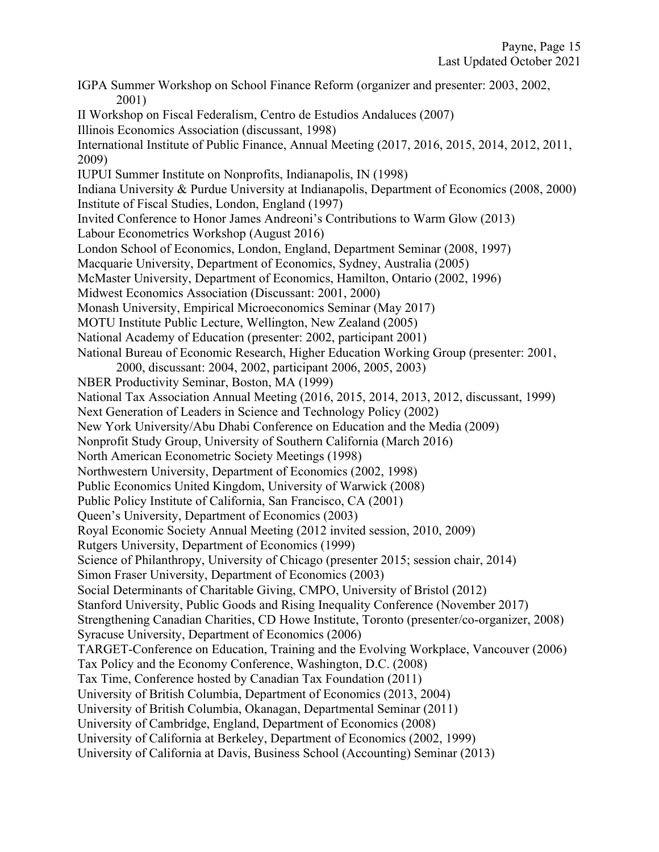IGPA Summer Workshop on School Finance Reform (organizer and presenter: 2003, 2002, 2001) II Workshop on Fiscal Federalism, Centro de Estudios Andaluces (2007) Illinois Economics Association (discussant, 1998) International Institute of Public Finance, Annual Meeting (2017, 2016, 2015, 2014, 2012, 2011, 2009) IUPUI Summer Institute on Nonprofits, Indianapolis, IN (1998) Indiana University & Purdue University at Indianapolis, Department of Economics (2008, 2000) Institute of Fiscal Studies, London, England (1997) Invited Conference to Honor James Andreoni's Contributions to Warm Glow (2013) Labour Econometrics Workshop (August 2016) London School of Economics, London, England, Department Seminar (2008, 1997) Macquarie University, Department of Economics, Sydney, Australia (2005) McMaster University, Department of Economics, Hamilton, Ontario (2002, 1996) Midwest Economics Association (Discussant: 2001, 2000) Monash University, Empirical Microeconomics Seminar (May 2017) MOTU Institute Public Lecture, Wellington, New Zealand (2005) National Academy of Education (presenter: 2002, participant 2001) National Bureau of Economic Research, Higher Education Working Group (presenter: 2001, 2000, discussant: 2004, 2002, participant 2006, 2005, 2003) NBER Productivity Seminar, Boston, MA (1999) National Tax Association Annual Meeting (2016, 2015, 2014, 2013, 2012, discussant, 1999) Next Generation of Leaders in Science and Technology Policy (2002) New York University/Abu Dhabi Conference on Education and the Media (2009) Nonprofit Study Group, University of Southern California (March 2016) North American Econometric Society Meetings (1998) Northwestern University, Department of Economics (2002, 1998) Public Economics United Kingdom, University of Warwick (2008) Public Policy Institute of California, San Francisco, CA (2001) Queen's University, Department of Economics (2003) Royal Economic Society Annual Meeting (2012 invited session, 2010, 2009) Rutgers University, Department of Economics (1999) Science of Philanthropy, University of Chicago (presenter 2015; session chair, 2014) Simon Fraser University, Department of Economics (2003) Social Determinants of Charitable Giving, CMPO, University of Bristol (2012) Stanford University, Public Goods and Rising Inequality Conference (November 2017) Strengthening Canadian Charities, CD Howe Institute, Toronto (presenter/co-organizer, 2008) Syracuse University, Department of Economics (2006) TARGET-Conference on Education, Training and the Evolving Workplace, Vancouver (2006) Tax Policy and the Economy Conference, Washington, D.C. (2008) Tax Time, Conference hosted by Canadian Tax Foundation (2011) University of British Columbia, Department of Economics (2013, 2004) University of British Columbia, Okanagan, Departmental Seminar (2011) University of Cambridge, England, Department of Economics (2008) University of California at Berkeley, Department of Economics (2002, 1999) University of California at Davis, Business School (Accounting) Seminar (2013)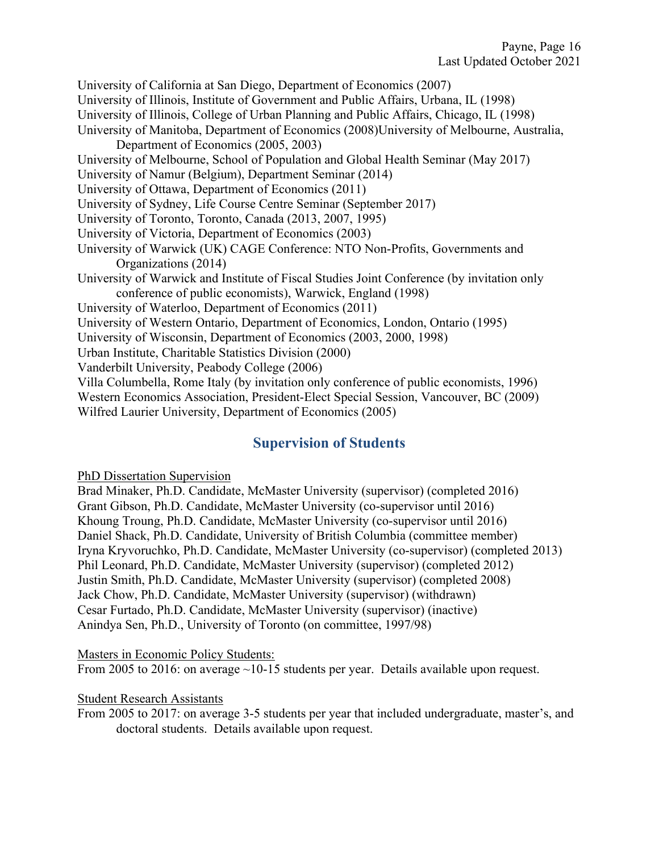University of California at San Diego, Department of Economics (2007)

University of Illinois, Institute of Government and Public Affairs, Urbana, IL (1998)

University of Illinois, College of Urban Planning and Public Affairs, Chicago, IL (1998)

- University of Manitoba, Department of Economics (2008)University of Melbourne, Australia, Department of Economics (2005, 2003)
- University of Melbourne, School of Population and Global Health Seminar (May 2017)
- University of Namur (Belgium), Department Seminar (2014)
- University of Ottawa, Department of Economics (2011)
- University of Sydney, Life Course Centre Seminar (September 2017)
- University of Toronto, Toronto, Canada (2013, 2007, 1995)
- University of Victoria, Department of Economics (2003)
- University of Warwick (UK) CAGE Conference: NTO Non-Profits, Governments and Organizations (2014)
- University of Warwick and Institute of Fiscal Studies Joint Conference (by invitation only conference of public economists), Warwick, England (1998)
- University of Waterloo, Department of Economics (2011)
- University of Western Ontario, Department of Economics, London, Ontario (1995)
- University of Wisconsin, Department of Economics (2003, 2000, 1998)
- Urban Institute, Charitable Statistics Division (2000)
- Vanderbilt University, Peabody College (2006)
- Villa Columbella, Rome Italy (by invitation only conference of public economists, 1996)
- Western Economics Association, President-Elect Special Session, Vancouver, BC (2009) Wilfred Laurier University, Department of Economics (2005)

### **Supervision of Students**

#### PhD Dissertation Supervision

Brad Minaker, Ph.D. Candidate, McMaster University (supervisor) (completed 2016) Grant Gibson, Ph.D. Candidate, McMaster University (co-supervisor until 2016) Khoung Troung, Ph.D. Candidate, McMaster University (co-supervisor until 2016) Daniel Shack, Ph.D. Candidate, University of British Columbia (committee member) Iryna Kryvoruchko, Ph.D. Candidate, McMaster University (co-supervisor) (completed 2013) Phil Leonard, Ph.D. Candidate, McMaster University (supervisor) (completed 2012) Justin Smith, Ph.D. Candidate, McMaster University (supervisor) (completed 2008) Jack Chow, Ph.D. Candidate, McMaster University (supervisor) (withdrawn) Cesar Furtado, Ph.D. Candidate, McMaster University (supervisor) (inactive) Anindya Sen, Ph.D., University of Toronto (on committee, 1997/98)

#### Masters in Economic Policy Students:

From 2005 to 2016: on average  $\sim$ 10-15 students per year. Details available upon request.

#### Student Research Assistants

From 2005 to 2017: on average 3-5 students per year that included undergraduate, master's, and doctoral students. Details available upon request.